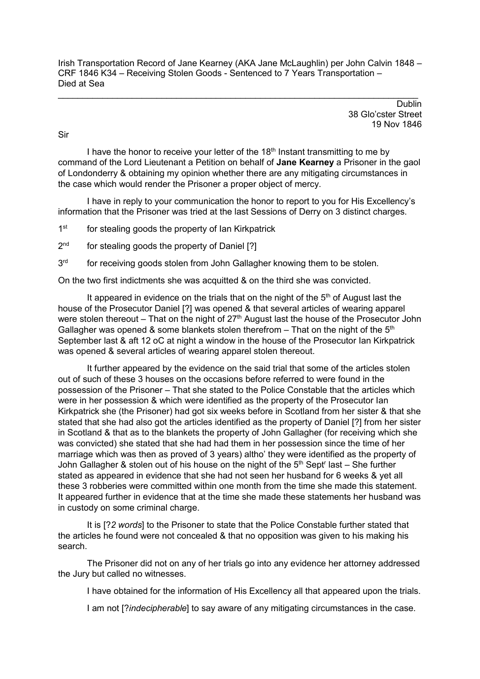Irish Transportation Record of Jane Kearney (AKA Jane McLaughlin) per John Calvin 1848 – CRF 1846 K34 – Receiving Stolen Goods - Sentenced to 7 Years Transportation – Died at Sea

 $\_$  , and the set of the set of the set of the set of the set of the set of the set of the set of the set of the set of the set of the set of the set of the set of the set of the set of the set of the set of the set of th

**Dublin** 38 Glo'cster Street 19 Nov 1846

Sir

I have the honor to receive your letter of the  $18<sup>th</sup>$  Instant transmitting to me by command of the Lord Lieutenant a Petition on behalf of **Jane Kearney** a Prisoner in the gaol of Londonderry & obtaining my opinion whether there are any mitigating circumstances in the case which would render the Prisoner a proper object of mercy.

I have in reply to your communication the honor to report to you for His Excellency's information that the Prisoner was tried at the last Sessions of Derry on 3 distinct charges.

1<sup>st</sup> for stealing goods the property of Ian Kirkpatrick

2<sup>nd</sup> for stealing goods the property of Daniel [?]

3<sup>rd</sup> for receiving goods stolen from John Gallagher knowing them to be stolen.

On the two first indictments she was acquitted & on the third she was convicted.

It appeared in evidence on the trials that on the night of the  $5<sup>th</sup>$  of August last the house of the Prosecutor Daniel [?] was opened & that several articles of wearing apparel were stolen thereout – That on the night of  $27<sup>th</sup>$  August last the house of the Prosecutor John Gallagher was opened & some blankets stolen therefrom – That on the night of the  $5<sup>th</sup>$ September last & aft 12 oC at night a window in the house of the Prosecutor Ian Kirkpatrick was opened & several articles of wearing apparel stolen thereout.

It further appeared by the evidence on the said trial that some of the articles stolen out of such of these 3 houses on the occasions before referred to were found in the possession of the Prisoner – That she stated to the Police Constable that the articles which were in her possession & which were identified as the property of the Prosecutor Ian Kirkpatrick she (the Prisoner) had got six weeks before in Scotland from her sister & that she stated that she had also got the articles identified as the property of Daniel [?] from her sister in Scotland & that as to the blankets the property of John Gallagher (for receiving which she was convicted) she stated that she had had them in her possession since the time of her marriage which was then as proved of 3 years) altho' they were identified as the property of John Gallagher & stolen out of his house on the night of the  $5<sup>th</sup>$  Sept<sup>r</sup> last – She further stated as appeared in evidence that she had not seen her husband for 6 weeks & yet all these 3 robberies were committed within one month from the time she made this statement. It appeared further in evidence that at the time she made these statements her husband was in custody on some criminal charge.

It is [?*2 words*] to the Prisoner to state that the Police Constable further stated that the articles he found were not concealed & that no opposition was given to his making his search.

The Prisoner did not on any of her trials go into any evidence her attorney addressed the Jury but called no witnesses.

I have obtained for the information of His Excellency all that appeared upon the trials.

I am not [?*indecipherable*] to say aware of any mitigating circumstances in the case.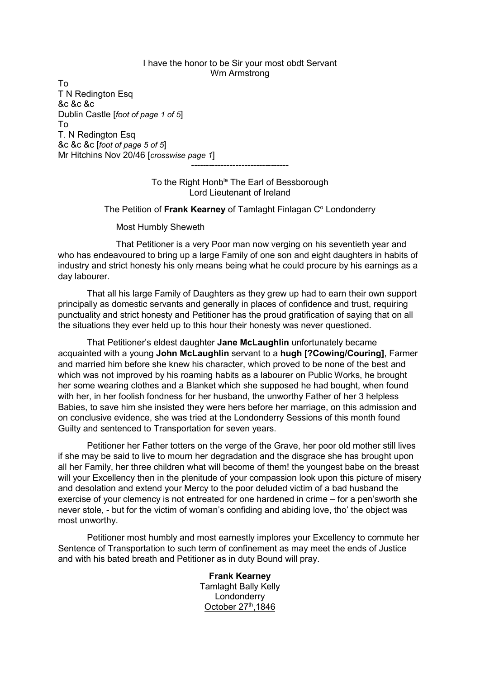## I have the honor to be Sir your most obdt Servant Wm Armstrong

To T N Redington Esq &c &c &c Dublin Castle [*foot of page 1 of 5*] To T. N Redington Esq &c &c &c [*foot of page 5 of 5*] Mr Hitchins Nov 20/46 [*crosswise page 1*]

> To the Right Honb<sup>le</sup> The Earl of Bessborough Lord Lieutenant of Ireland

---------------------------------

## The Petition of **Frank Kearney** of Tamlaght Finlagan C<sup>o</sup> Londonderry

Most Humbly Sheweth

That Petitioner is a very Poor man now verging on his seventieth year and who has endeavoured to bring up a large Family of one son and eight daughters in habits of industry and strict honesty his only means being what he could procure by his earnings as a day labourer.

That all his large Family of Daughters as they grew up had to earn their own support principally as domestic servants and generally in places of confidence and trust, requiring punctuality and strict honesty and Petitioner has the proud gratification of saying that on all the situations they ever held up to this hour their honesty was never questioned.

That Petitioner's eldest daughter **Jane McLaughlin** unfortunately became acquainted with a young **John McLaughlin** servant to a **hugh [?Cowing/Couring]**, Farmer and married him before she knew his character, which proved to be none of the best and which was not improved by his roaming habits as a labourer on Public Works, he brought her some wearing clothes and a Blanket which she supposed he had bought, when found with her, in her foolish fondness for her husband, the unworthy Father of her 3 helpless Babies, to save him she insisted they were hers before her marriage, on this admission and on conclusive evidence, she was tried at the Londonderry Sessions of this month found Guilty and sentenced to Transportation for seven years.

Petitioner her Father totters on the verge of the Grave, her poor old mother still lives if she may be said to live to mourn her degradation and the disgrace she has brought upon all her Family, her three children what will become of them! the youngest babe on the breast will your Excellency then in the plenitude of your compassion look upon this picture of misery and desolation and extend your Mercy to the poor deluded victim of a bad husband the exercise of your clemency is not entreated for one hardened in crime – for a pen'sworth she never stole, - but for the victim of woman's confiding and abiding love, tho' the object was most unworthy.

Petitioner most humbly and most earnestly implores your Excellency to commute her Sentence of Transportation to such term of confinement as may meet the ends of Justice and with his bated breath and Petitioner as in duty Bound will pray.

> **Frank Kearney** Tamlaght Bally Kelly **Londonderry** October  $27<sup>th</sup>$ , 1846